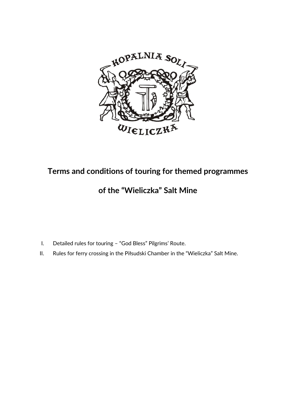

## **Terms and conditions of touring for themed programmes**

## **of the "Wieliczka" Salt Mine**

- I. Detailed rules for touring "God Bless" Pilgrims' Route.
- II. Rules for ferry crossing in the Piłsudski Chamber in the "Wieliczka" Salt Mine.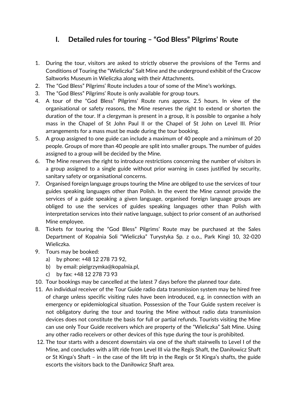## **I. Detailed rules for touring – "God Bless" Pilgrims' Route**

- 1. During the tour, visitors are asked to strictly observe the provisions of the Terms and Conditions of Touring the "Wieliczka" Salt Mine and the underground exhibit of the Cracow Saltworks Museum in Wieliczka along with their Attachments.
- 2. The "God Bless" Pilgrims' Route includes a tour of some of the Mine's workings.
- 3. The "God Bless" Pilgrims' Route is only available for group tours.
- 4. A tour of the "God Bless" Pilgrims' Route runs approx. 2.5 hours. In view of the organisational or safety reasons, the Mine reserves the right to extend or shorten the duration of the tour. If a clergyman is present in a group, it is possible to organise a holy mass in the Chapel of St John Paul II or the Chapel of St John on Level III. Prior arrangements for a mass must be made during the tour booking.
- 5. A group assigned to one guide can include a maximum of 40 people and a minimum of 20 people. Groups of more than 40 people are split into smaller groups. The number of guides assigned to a group will be decided by the Mine.
- 6. The Mine reserves the right to introduce restrictions concerning the number of visitors in a group assigned to a single guide without prior warning in cases justified by security, sanitary safety or organisational concerns.
- 7. Organised foreign language groups touring the Mine are obliged to use the services of tour guides speaking languages other than Polish. In the event the Mine cannot provide the services of a guide speaking a given language, organised foreign language groups are obliged to use the services of guides speaking languages other than Polish with interpretation services into their native language, subject to prior consent of an authorised Mine employee.
- 8. Tickets for touring the "God Bless" Pilgrims' Route may be purchased at the Sales Department of Kopalnia Soli "Wieliczka" Turystyka Sp. z o.o., Park Kingi 10, 32-020 Wieliczka.
- 9. Tours may be booked:
	- a) by phone: +48 12 278 73 92,
	- b) by email: pielgrzymka@kopalnia.pl,
	- c) by fax: +48 12 278 73 93
- 10. Tour bookings may be cancelled at the latest 7 days before the planned tour date.
- 11. An individual receiver of the Tour Guide radio data transmission system may be hired free of charge unless specific visiting rules have been introduced, e.g. in connection with an emergency or epidemiological situation. Possession of the Tour Guide system receiver is not obligatory during the tour and touring the Mine without radio data transmission devices does not constitute the basis for full or partial refunds. Tourists visiting the Mine can use only Tour Guide receivers which are property of the "Wieliczka" Salt Mine. Using any other radio receivers or other devices of this type during the tour is prohibited.
- 12. The tour starts with a descent downstairs via one of the shaft stairwells to Level I of the Mine, and concludes with a lift ride from Level III via the Regis Shaft, the Daniłowicz Shaft or St Kinga's Shaft – in the case of the lift trip in the Regis or St Kinga's shafts, the guide escorts the visitors back to the Daniłowicz Shaft area.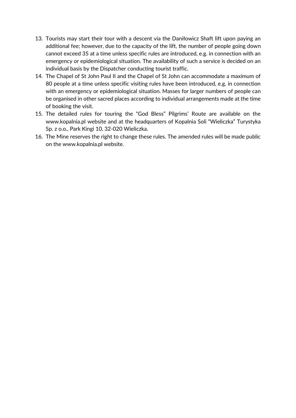- 13. Tourists may start their tour with a descent via the Daniłowicz Shaft lift upon paying an additional fee; however, due to the capacity of the lift, the number of people going down cannot exceed 35 at a time unless specific rules are introduced, e.g. in connection with an emergency or epidemiological situation. The availability of such a service is decided on an individual basis by the Dispatcher conducting tourist traffic.
- 14. The Chapel of St John Paul II and the Chapel of St John can accommodate a maximum of 80 people at a time unless specific visiting rules have been introduced, e.g. in connection with an emergency or epidemiological situation. Masses for larger numbers of people can be organised in other sacred places according to individual arrangements made at the time of booking the visit.
- 15. The detailed rules for touring the "God Bless" Pilgrims' Route are available on the www.kopalnia.pl website and at the headquarters of Kopalnia Soli "Wieliczka" Turystyka Sp. z o.o., Park Kingi 10, 32-020 Wieliczka.
- 16. The Mine reserves the right to change these rules. The amended rules will be made public on the www.kopalnia.pl website.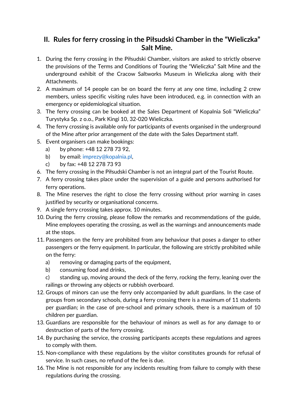## **II. Rules for ferry crossing in the Piłsudski Chamber in the "Wieliczka" Salt Mine.**

- 1. During the ferry crossing in the Piłsudski Chamber, visitors are asked to strictly observe the provisions of the Terms and Conditions of Touring the "Wieliczka" Salt Mine and the underground exhibit of the Cracow Saltworks Museum in Wieliczka along with their Attachments.
- 2. A maximum of 14 people can be on board the ferry at any one time, including 2 crew members, unless specific visiting rules have been introduced, e.g. in connection with an emergency or epidemiological situation.
- 3. The ferry crossing can be booked at the Sales Department of Kopalnia Soli "Wieliczka" Turystyka Sp. z o.o., Park Kingi 10, 32-020 Wieliczka.
- 4. The ferry crossing is available only for participants of events organised in the underground of the Mine after prior arrangement of the date with the Sales Department staff.
- 5. Event organisers can make bookings:
	- a) by phone: +48 12 278 73 92,
	- b) by email: imprezy@kopalnia.pl,
	- c) by fax: +48 12 278 73 93
- 6. The ferry crossing in the Piłsudski Chamber is not an integral part of the Tourist Route.
- 7. A ferry crossing takes place under the supervision of a guide and persons authorised for ferry operations.
- 8. The Mine reserves the right to close the ferry crossing without prior warning in cases justified by security or organisational concerns.
- 9. A single ferry crossing takes approx. 10 minutes.
- 10. During the ferry crossing, please follow the remarks and recommendations of the guide, Mine employees operating the crossing, as well as the warnings and announcements made at the stops.
- 11. Passengers on the ferry are prohibited from any behaviour that poses a danger to other passengers or the ferry equipment. In particular, the following are strictly prohibited while on the ferry:
	- a) removing or damaging parts of the equipment,
	- b) consuming food and drinks,
	- c) standing up, moving around the deck of the ferry, rocking the ferry, leaning over the railings or throwing any objects or rubbish overboard.
- 12. Groups of minors can use the ferry only accompanied by adult guardians. In the case of groups from secondary schools, during a ferry crossing there is a maximum of 11 students per guardian; in the case of pre-school and primary schools, there is a maximum of 10 children per guardian.
- 13. Guardians are responsible for the behaviour of minors as well as for any damage to or destruction of parts of the ferry crossing.
- 14. By purchasing the service, the crossing participants accepts these regulations and agrees to comply with them.
- 15. Non-compliance with these regulations by the visitor constitutes grounds for refusal of service. In such cases, no refund of the fee is due.
- 16. The Mine is not responsible for any incidents resulting from failure to comply with these regulations during the crossing.